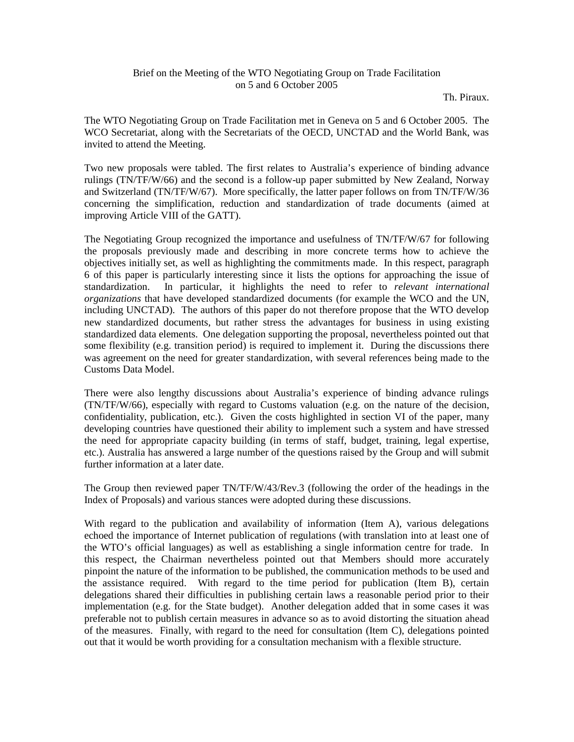## Brief on the Meeting of the WTO Negotiating Group on Trade Facilitation on 5 and 6 October 2005

Th. Piraux.

The WTO Negotiating Group on Trade Facilitation met in Geneva on 5 and 6 October 2005. The WCO Secretariat, along with the Secretariats of the OECD, UNCTAD and the World Bank, was invited to attend the Meeting.

Two new proposals were tabled. The first relates to Australia's experience of binding advance rulings (TN/TF/W/66) and the second is a follow-up paper submitted by New Zealand, Norway and Switzerland (TN/TF/W/67). More specifically, the latter paper follows on from TN/TF/W/36 concerning the simplification, reduction and standardization of trade documents (aimed at improving Article VIII of the GATT).

The Negotiating Group recognized the importance and usefulness of TN/TF/W/67 for following the proposals previously made and describing in more concrete terms how to achieve the objectives initially set, as well as highlighting the commitments made. In this respect, paragraph 6 of this paper is particularly interesting since it lists the options for approaching the issue of standardization. In particular, it highlights the need to refer to *relevant international organizations* that have developed standardized documents (for example the WCO and the UN, including UNCTAD). The authors of this paper do not therefore propose that the WTO develop new standardized documents, but rather stress the advantages for business in using existing standardized data elements. One delegation supporting the proposal, nevertheless pointed out that some flexibility (e.g. transition period) is required to implement it. During the discussions there was agreement on the need for greater standardization, with several references being made to the Customs Data Model.

There were also lengthy discussions about Australia's experience of binding advance rulings (TN/TF/W/66), especially with regard to Customs valuation (e.g. on the nature of the decision, confidentiality, publication, etc.). Given the costs highlighted in section VI of the paper, many developing countries have questioned their ability to implement such a system and have stressed the need for appropriate capacity building (in terms of staff, budget, training, legal expertise, etc.). Australia has answered a large number of the questions raised by the Group and will submit further information at a later date.

The Group then reviewed paper TN/TF/W/43/Rev.3 (following the order of the headings in the Index of Proposals) and various stances were adopted during these discussions.

With regard to the publication and availability of information (Item A), various delegations echoed the importance of Internet publication of regulations (with translation into at least one of the WTO's official languages) as well as establishing a single information centre for trade. In this respect, the Chairman nevertheless pointed out that Members should more accurately pinpoint the nature of the information to be published, the communication methods to be used and the assistance required. With regard to the time period for publication (Item B), certain delegations shared their difficulties in publishing certain laws a reasonable period prior to their implementation (e.g. for the State budget). Another delegation added that in some cases it was preferable not to publish certain measures in advance so as to avoid distorting the situation ahead of the measures. Finally, with regard to the need for consultation (Item C), delegations pointed out that it would be worth providing for a consultation mechanism with a flexible structure.